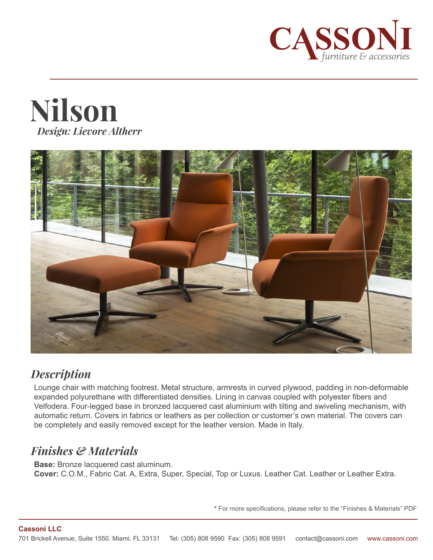





## *Description*

Lounge chair with matching footrest. Metal structure, armrests in curved plywood, padding in non-deformable expanded polyurethane with differentiated densities. Lining in canvas coupled with polyester fibers and Velfodera. Four-legged base in bronzed lacquered cast aluminium with tilting and swiveling mechanism, with automatic return. Covers in fabrics or leathers as per collection or customer's own material. The covers can be completely and easily removed except for the leather version. Made in Italy.

## *Finishes & Materials*

**Base:** Bronze lacquered cast aluminum. **Cover:** C.O.M., Fabric Cat. A, Extra, Super, Special, Top or Luxus. Leather Cat. Leather or Leather Extra.

**\*** For more specifications, please refer to the "Finishes & Materials" PDF